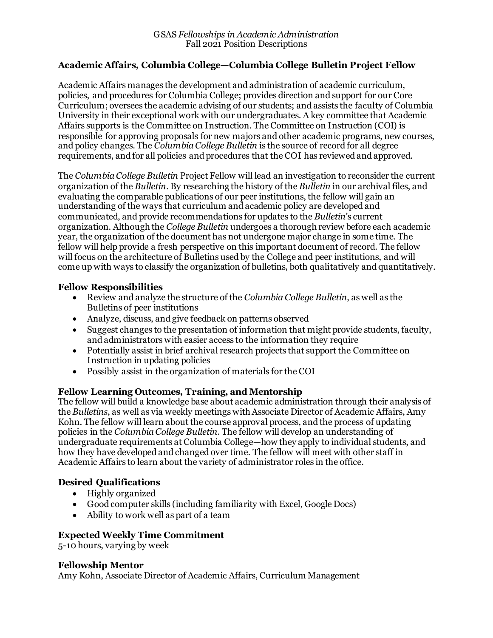### **Academic Affairs, Columbia College—Columbia College Bulletin Project Fellow**

Academic Affairs manages the development and administration of academic curriculum, policies, and procedures for Columbia College; provides direction and support for our Core Curriculum; oversees the academic advising of our students; and assists the faculty of Columbia University in their exceptional work with our undergraduates. A key committee that Academic Affairs supports is the Committee on Instruction. The Committee on Instruction (COI) is responsible for approving proposals for new majors and other academic programs, new courses, and policy changes. The *Columbia College Bulletin* is the source of record for all degree requirements, and for all policies and procedures that the COI has reviewed and approved.

The *Columbia College Bulletin* Project Fellow will lead an investigation to reconsider the current organization of the *Bulletin*. By researching the history of the *Bulletin* in our archival files, and evaluating the comparable publications of our peer institutions, the fellow will gain an understanding of the ways that curriculum and academic policy are developed and communicated, and provide recommendations for updates to the *Bulletin*'s current organization. Although the *College Bulletin* undergoes a thorough review before each academic year, the organization of the document has not undergone major change in some time. The fellow will help provide a fresh perspective on this important document of record. The fellow will focus on the architecture of Bulletins used by the College and peer institutions, and will come up with ways to classify the organization of bulletins, both qualitatively and quantitatively.

#### **Fellow Responsibilities**

- Review and analyze the structure of the *Columbia College Bulletin*, as well as the Bulletins of peer institutions
- Analyze, discuss, and give feedback on patterns observed
- Suggest changes to the presentation of information that might provide students, faculty, and administrators with easier access to the information they require
- Potentially assist in brief archival research projects that support the Committee on Instruction in updating policies
- Possibly assist in the organization of materials for the COI

### **Fellow Learning Outcomes, Training, and Mentorship**

The fellow will build a knowledge base about academic administration through their analysis of the *Bulletins*, as well as via weekly meetings with Associate Director of Academic Affairs, Amy Kohn. The fellow will learn about the course approval process, and the process of updating policies in the *Columbia College Bulletin*. The fellow will develop an understanding of undergraduate requirements at Columbia College—how they apply to individual students, and how they have developed and changed over time. The fellow will meet with other staff in Academic Affairs to learn about the variety of administrator roles in the office.

# **Desired Qualifications**

- Highly organized
- Good computer skills (including familiarity with Excel, Google Docs)
- Ability to work well as part of a team

### **Expected Weekly Time Commitment**

5-10 hours, varying by week

### **Fellowship Mentor**

Amy Kohn, Associate Director of Academic Affairs, Curriculum Management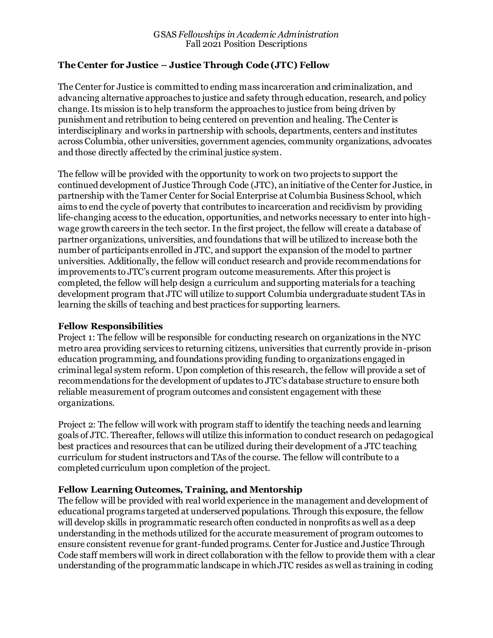### **The Center for Justice – Justice Through Code (JTC) Fellow**

The Center for Justice is committed to ending mass incarceration and criminalization, and advancing alternative approaches to justice and safety through education, research, and policy change. Its mission is to help transform the approaches to justice from being driven by punishment and retribution to being centered on prevention and healing. The Center is interdisciplinary and works in partnership with schools, departments, centers and institutes across Columbia, other universities, government agencies, community organizations, advocates and those directly affected by the criminal justice system.

The fellow will be provided with the opportunity to work on two projects to support the continued development of Justice Through Code (JTC), an initiative of the Center for Justice, in partnership with the Tamer Center for Social Enterprise at Columbia Business School, which aims to end the cycle of poverty that contributes to incarceration and recidivism by providing life-changing access to the education, opportunities, and networks necessary to enter into highwage growth careers in the tech sector. In the first project, the fellow will create a database of partner organizations, universities, and foundations that will be utilized to increase both the number of participants enrolled in JTC, and support the expansion of the model to partner universities. Additionally, the fellow will conduct research and provide recommendations for improvements to JTC's current program outcome measurements. After this project is completed, the fellow will help design a curriculum and supporting materials for a teaching development program that JTC will utilize to support Columbia undergraduate student TAs in learning the skills of teaching and best practices for supporting learners.

### **Fellow Responsibilities**

Project 1: The fellow will be responsible for conducting research on organizations in the NYC metro area providing services to returning citizens, universities that currently provide in-prison education programming, and foundations providing funding to organizations engaged in criminal legal system reform. Upon completion of this research, the fellow will provide a set of recommendations for the development of updates to JTC's database structure to ensure both reliable measurement of program outcomes and consistent engagement with these organizations.

Project 2: The fellow will work with program staff to identify the teaching needs and learning goals of JTC. Thereafter, fellows will utilize this information to conduct research on pedagogical best practices and resources that can be utilized during their development of a JTC teaching curriculum for student instructors and TAs of the course. The fellow will contribute to a completed curriculum upon completion of the project.

### **Fellow Learning Outcomes, Training, and Mentorship**

The fellow will be provided with real world experience in the management and development of educational programs targeted at underserved populations. Through this exposure, the fellow will develop skills in programmatic research often conducted in nonprofits as well as a deep understanding in the methods utilized for the accurate measurement of program outcomes to ensure consistent revenue for grant-funded programs. Center for Justice and Justice Through Code staff members will work in direct collaboration with the fellow to provide them with a clear understanding of the programmatic landscape in which JTC resides as well as training in coding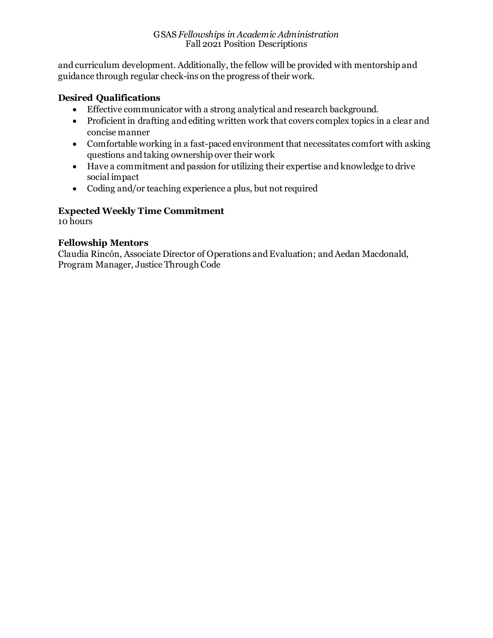#### GSAS *Fellowships in Academic Administration* Fall 2021 Position Descriptions

and curriculum development. Additionally, the fellow will be provided with mentorship and guidance through regular check-ins on the progress of their work.

### **Desired Qualifications**

- Effective communicator with a strong analytical and research background.
- Proficient in drafting and editing written work that covers complex topics in a clear and concise manner
- Comfortable working in a fast-paced environment that necessitates comfort with asking questions and taking ownership over their work
- Have a commitment and passion for utilizing their expertise and knowledge to drive social impact
- Coding and/or teaching experience a plus, but not required

# **Expected Weekly Time Commitment**

10 hours

### **Fellowship Mentors**

Claudia Rincón, Associate Director of Operations and Evaluation; and Aedan Macdonald, Program Manager, Justice Through Code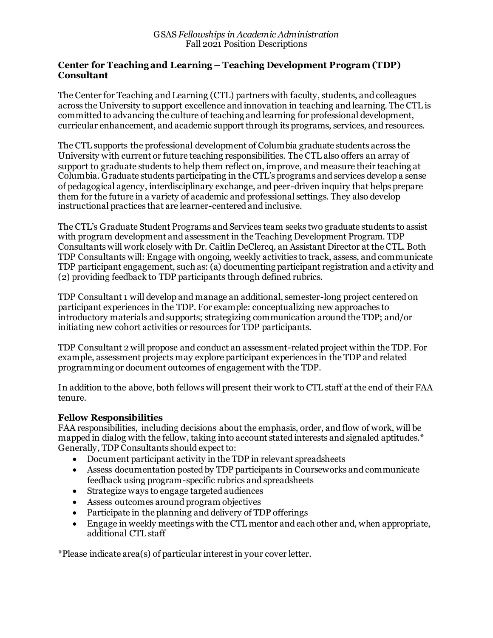#### **Center for Teaching and Learning – Teaching Development Program (TDP) Consultant**

The Center for Teaching and Learning (CTL) partners with faculty, students, and colleagues across the University to support excellence and innovation in teaching and learning. The CTL is committed to advancing the culture of teaching and learning for professional development, curricular enhancement, and academic support through its programs, services, and resources.

The CTL supports the professional development of Columbia graduate students across the University with current or future teaching responsibilities. The CTL also offers an array of support to graduate students to help them reflect on, improve, and measure their teaching at Columbia. Graduate students participating in the CTL's programs and services develop a sense of pedagogical agency, interdisciplinary exchange, and peer-driven inquiry that helps prepare them for the future in a variety of academic and professional settings. They also develop instructional practices that are learner-centered and inclusive.

The CTL's Graduate Student Programs and Services team seeks two graduate students to assist with program development and assessment in the Teaching Development Program. TDP Consultants will work closely with Dr. Caitlin DeClercq, an Assistant Director at the CTL. Both TDP Consultants will: Engage with ongoing, weekly activities to track, assess, and communicate TDP participant engagement, such as: (a) documenting participant registration and activity and (2) providing feedback to TDP participants through defined rubrics.

TDP Consultant 1 will develop and manage an additional, semester-long project centered on participant experiences in the TDP. For example: conceptualizing new approaches to introductory materials and supports; strategizing communication around the TDP; and/or initiating new cohort activities or resources for TDP participants.

TDP Consultant 2 will propose and conduct an assessment-related project within the TDP. For example, assessment projects may explore participant experiences in the TDP and related programming or document outcomes of engagement with the TDP.

In addition to the above, both fellows will present their work to CTL staff at the end of their FAA tenure.

### **Fellow Responsibilities**

FAA responsibilities, including decisions about the emphasis, order, and flow of work, will be mapped in dialog with the fellow, taking into account stated interests and signaled aptitudes.\* Generally, TDP Consultants should expect to:

- Document participant activity in the TDP in relevant spreadsheets
- Assess documentation posted by TDP participants in Courseworks and communicate feedback using program-specific rubrics and spreadsheets
- Strategize ways to engage targeted audiences
- Assess outcomes around program objectives
- Participate in the planning and delivery of TDP offerings
- Engage in weekly meetings with the CTL mentor and each other and, when appropriate, additional CTL staff

\*Please indicate area(s) of particular interest in your cover letter.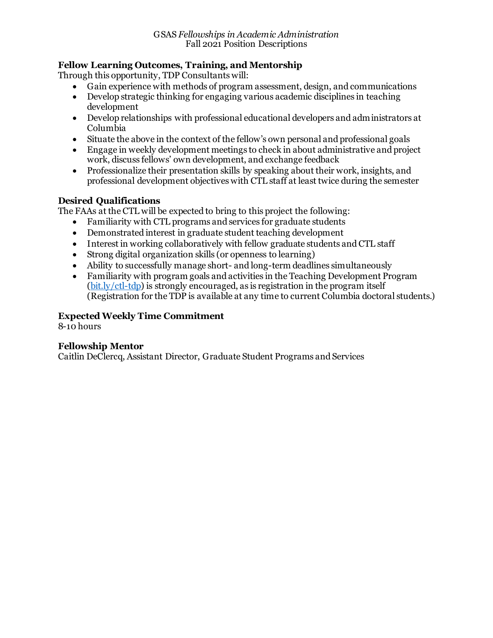# **Fellow Learning Outcomes, Training, and Mentorship**

Through this opportunity, TDP Consultants will:

- Gain experience with methods of program assessment, design, and communications
- Develop strategic thinking for engaging various academic disciplines in teaching development
- Develop relationships with professional educational developers and administrators at Columbia
- Situate the above in the context of the fellow's own personal and professional goals
- Engage in weekly development meetings to check in about administrative and project work, discuss fellows' own development, and exchange feedback
- Professionalize their presentation skills by speaking about their work, insights, and professional development objectives with CTL staff at least twice during the semester

### **Desired Qualifications**

The FAAs at the CTL will be expected to bring to this project the following:

- Familiarity with CTL programs and services for graduate students
- Demonstrated interest in graduate student teaching development
- Interest in working collaboratively with fellow graduate students and CTL staff
- Strong digital organization skills (or openness to learning)
- Ability to successfully manage short- and long-term deadlines simultaneously
- Familiarity with program goals and activities in the Teaching Development Program [\(bit.ly/ctl-tdp\)](http://bit.ly/ctl-tdp) is strongly encouraged, as is registration in the program itself (Registration for the TDP is available at any time to current Columbia doctoral students.)

## **Expected Weekly Time Commitment**

8-10 hours

### **Fellowship Mentor**

Caitlin DeClercq, Assistant Director, Graduate Student Programs and Services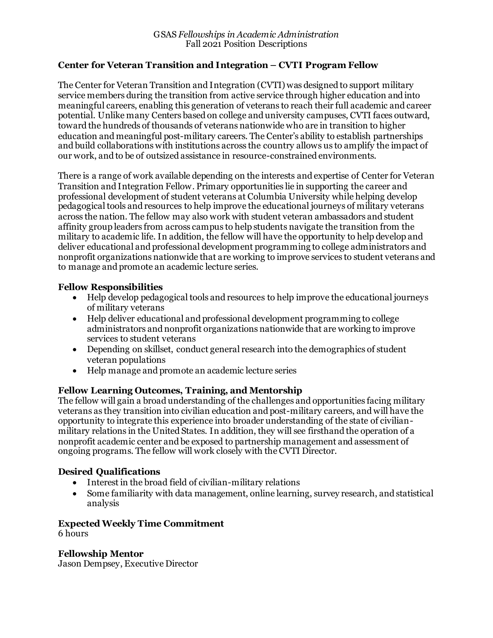### **Center for Veteran Transition and Integration – CVTI Program Fellow**

The Center for Veteran Transition and Integration (CVTI) was designed to support military service members during the transition from active service through higher education and into meaningful careers, enabling this generation of veterans to reach their full academic and career potential. Unlike many Centers based on college and university campuses, CVTI faces outward, toward the hundreds of thousands of veterans nationwide who are in transition to higher education and meaningful post-military careers. The Center's ability to establish partnerships and build collaborations with institutions across the country allows us to amplify the impact of our work, and to be of outsized assistance in resource-constrained environments.

There is a range of work available depending on the interests and expertise of Center for Veteran Transition and Integration Fellow. Primary opportunities lie in supporting the career and professional development of student veterans at Columbia University while helping develop pedagogical tools and resources to help improve the educational journeys of military veterans across the nation. The fellow may also work with student veteran ambassadors and student affinity group leaders from across campus to help students navigate the transition from the military to academic life. In addition, the fellow will have the opportunity to help develop and deliver educational and professional development programming to college administrators and nonprofit organizations nationwide that are working to improve services to student veterans and to manage and promote an academic lecture series.

#### **Fellow Responsibilities**

- Help develop pedagogical tools and resources to help improve the educational journeys of military veterans
- Help deliver educational and professional development programming to college administrators and nonprofit organizations nationwide that are working to improve services to student veterans
- Depending on skillset, conduct general research into the demographics of student veteran populations
- Help manage and promote an academic lecture series

#### **Fellow Learning Outcomes, Training, and Mentorship**

The fellow will gain a broad understanding of the challenges and opportunities facing military veterans as they transition into civilian education and post-military careers, and will have the opportunity to integrate this experience into broader understanding of the state of civilianmilitary relations in the United States. In addition, they will see firsthand the operation of a nonprofit academic center and be exposed to partnership management and assessment of ongoing programs. The fellow will work closely with the CVTI Director.

### **Desired Qualifications**

- Interest in the broad field of civilian-military relations
- Some familiarity with data management, online learning, survey research, and statistical analysis

#### **Expected Weekly Time Commitment** 6 hours

**Fellowship Mentor** Jason Dempsey, Executive Director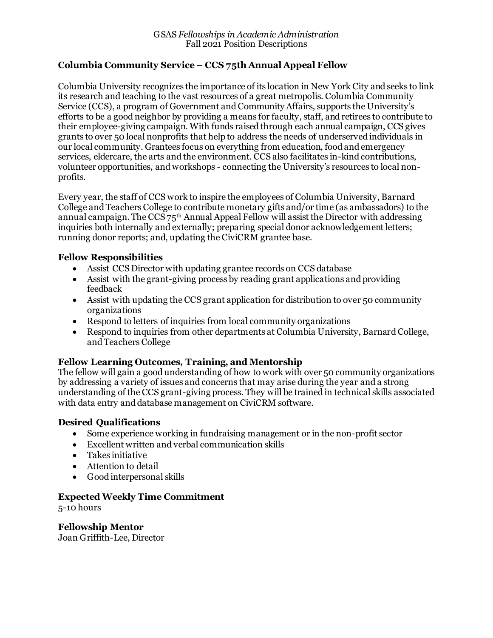### **Columbia Community Service – CCS 75th Annual Appeal Fellow**

Columbia University recognizes the importance of its location in New York City and seeks to link its research and teaching to the vast resources of a great metropolis. Columbia Community Service (CCS), a program of Government and Community Affairs, supports the University's efforts to be a good neighbor by providing a means for faculty, staff, and retirees to contribute to their employee-giving campaign. With funds raised through each annual campaign, CCS gives grants to over 50 local nonprofits that help to address the needs of underserved individuals in our local community. Grantees focus on everything from education, food and emergency services, eldercare, the arts and the environment. CCS also facilitates in-kind contributions, volunteer opportunities, and workshops - connecting the University's resources to local nonprofits.

Every year, the staff of CCS work to inspire the employees of Columbia University, Barnard College and Teachers College to contribute monetary gifts and/or time (as ambassadors) to the annual campaign. The  $CCS75<sup>th</sup>$  Annual Appeal Fellow will assist the Director with addressing inquiries both internally and externally; preparing special donor acknowledgement letters; running donor reports; and, updating the CiviCRM grantee base.

### **Fellow Responsibilities**

- Assist CCS Director with updating grantee records on CCS database
- Assist with the grant-giving process by reading grant applications and providing feedback
- Assist with updating the CCS grant application for distribution to over 50 community organizations
- Respond to letters of inquiries from local community organizations
- Respond to inquiries from other departments at Columbia University, Barnard College, and Teachers College

### **Fellow Learning Outcomes, Training, and Mentorship**

The fellow will gain a good understanding of how to work with over 50 community organizations by addressing a variety of issues and concerns that may arise during the year and a strong understanding of the CCS grant-giving process. They will be trained in technical skills associated with data entry and database management on CiviCRM software.

### **Desired Qualifications**

- Some experience working in fundraising management or in the non-profit sector
- Excellent written and verbal communication skills
- Takes initiative
- Attention to detail
- Good interpersonal skills

#### **Expected Weekly Time Commitment**

5-10 hours

**Fellowship Mentor** Joan Griffith-Lee, Director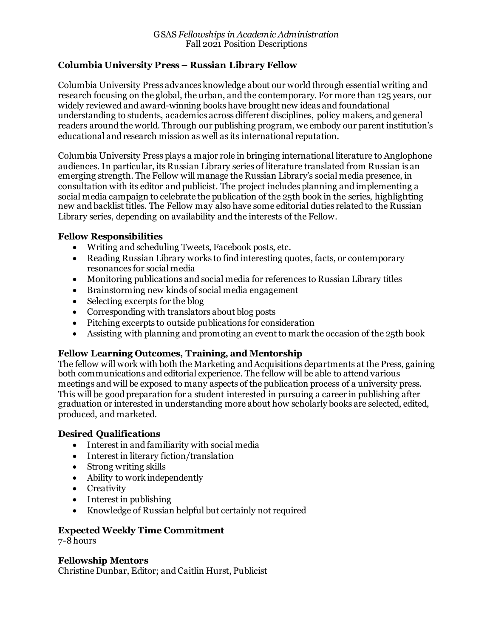### **Columbia University Press – Russian Library Fellow**

Columbia University Press advances knowledge about our world through essential writing and research focusing on the global, the urban, and the contemporary. For more than 125 years, our widely reviewed and award-winning books have brought new ideas and foundational understanding to students, academics across different disciplines, policy makers, and general readers around the world. Through our publishing program, we embody our parent institution's educational and research mission as well as its international reputation.

Columbia University Press plays a major role in bringing international literature to Anglophone audiences. In particular, its Russian Library series of literature translated from Russian is an emerging strength. The Fellow will manage the Russian Library's social media presence, in consultation with its editor and publicist. The project includes planning and implementing a social media campaign to celebrate the publication of the 25th book in the series, highlighting new and backlist titles. The Fellow may also have some editorial duties related to the Russian Library series, depending on availability and the interests of the Fellow.

### **Fellow Responsibilities**

- Writing and scheduling Tweets, Facebook posts, etc.
- Reading Russian Library works to find interesting quotes, facts, or contemporary resonances for social media
- Monitoring publications and social media for references to Russian Library titles
- Brainstorming new kinds of social media engagement
- Selecting excerpts for the blog
- Corresponding with translators about blog posts
- Pitching excerpts to outside publications for consideration
- Assisting with planning and promoting an event to mark the occasion of the 25th book

### **Fellow Learning Outcomes, Training, and Mentorship**

The fellow will work with both the Marketing and Acquisitions departments at the Press, gaining both communications and editorial experience. The fellow will be able to attend various meetings and will be exposed to many aspects of the publication process of a university press. This will be good preparation for a student interested in pursuing a career in publishing after graduation or interested in understanding more about how scholarly books are selected, edited, produced, and marketed.

### **Desired Qualifications**

- Interest in and familiarity with social media
- Interest in literary fiction/translation
- Strong writing skills
- Ability to work independently
- Creativity
- Interest in publishing
- Knowledge of Russian helpful but certainly not required

### **Expected Weekly Time Commitment**

7-8hours

**Fellowship Mentors** Christine Dunbar, Editor; and Caitlin Hurst, Publicist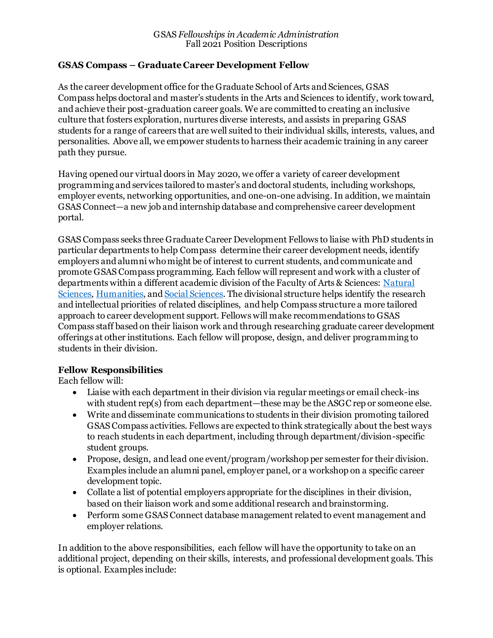### **GSAS Compass – Graduate Career Development Fellow**

As the career development office for the Graduate School of Arts and Sciences, GSAS Compass helps doctoral and master's students in the Arts and Sciences to identify, work toward, and achieve their post-graduation career goals. We are committed to creating an inclusive culture that fosters exploration, nurtures diverse interests, and assists in preparing GSAS students for a range of careers that are well suited to their individual skills, interests, values, and personalities. Above all, we empower students to harness their academic training in any career path they pursue.

Having opened our virtual doors in May 2020, we offer a variety of career development programming and services tailored to master's and doctoral students, including workshops, employer events, networking opportunities, and one-on-one advising. In addition, we maintain GSAS Connect—a new job and internship database and comprehensive career development portal.

GSAS Compass seeks three Graduate Career Development Fellows to liaise with PhD students in particular departments to help Compass determine their career development needs, identify employers and alumni who might be of interest to current students, and communicate and promote GSAS Compass programming. Each fellow will represent and work with a cluster of departments within a different academic division of the Faculty of Arts & Sciences: [Natural](https://fas.columbia.edu/home/division-natural-sciences)  [Sciences,](https://fas.columbia.edu/home/division-natural-sciences) [Humanities,](https://fas.columbia.edu/home/division-humanities) an[d Social Sciences.](https://fas.columbia.edu/home/divisions/division-social-science) The divisional structure helps identify the research and intellectual priorities of related disciplines, and help Compass structure a more tailored approach to career development support. Fellows will make recommendations to GSAS Compass staff based on their liaison work and through researching graduate career development offerings at other institutions. Each fellow will propose, design, and deliver programming to students in their division.

### **Fellow Responsibilities**

Each fellow will:

- Liaise with each department in their division via regular meetings or email check-ins with student rep(s) from each department—these may be the ASGC rep or someone else.
- Write and disseminate communications to students in their division promoting tailored GSAS Compass activities. Fellows are expected to think strategically about the best ways to reach students in each department, including through department/division-specific student groups.
- Propose, design, and lead one event/program/workshop per semester for their division. Examples include an alumni panel, employer panel, or a workshop on a specific career development topic.
- Collate a list of potential employers appropriate for the disciplines in their division, based on their liaison work and some additional research and brainstorming.
- Perform some GSAS Connect database management related to event management and employer relations.

In addition to the above responsibilities, each fellow will have the opportunity to take on an additional project, depending on their skills, interests, and professional development goals. This is optional. Examples include: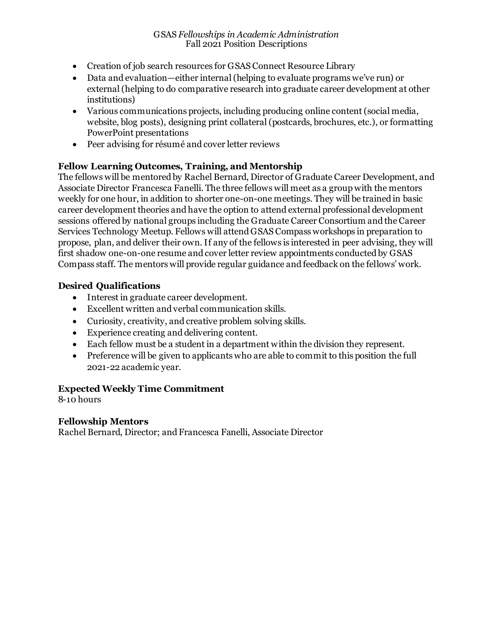- Creation of job search resources for GSAS Connect Resource Library
- Data and evaluation—either internal (helping to evaluate programs we've run) or external (helping to do comparative research into graduate career development at other institutions)
- Various communications projects, including producing online content (social media, website, blog posts), designing print collateral (postcards, brochures, etc.), or formatting PowerPoint presentations
- Peer advising for résumé and cover letter reviews

# **Fellow Learning Outcomes, Training, and Mentorship**

The fellows will be mentored by Rachel Bernard, Director of Graduate Career Development, and Associate Director Francesca Fanelli. The three fellows will meet as a group with the mentors weekly for one hour, in addition to shorter one-on-one meetings. They will be trained in basic career development theories and have the option to attend external professional development sessions offered by national groups including the Graduate Career Consortium and the Career Services Technology Meetup. Fellows will attend GSAS Compass workshops in preparation to propose, plan, and deliver their own. If any of the fellows is interested in peer advising, they will first shadow one-on-one resume and cover letter review appointments conducted by GSAS Compass staff. The mentors will provide regular guidance and feedback on the fellows' work.

### **Desired Qualifications**

- Interest in graduate career development.
- Excellent written and verbal communication skills.
- Curiosity, creativity, and creative problem solving skills.
- Experience creating and delivering content.
- Each fellow must be a student in a department within the division they represent.
- Preference will be given to applicants who are able to commit to this position the full 2021-22 academic year.

### **Expected Weekly Time Commitment**

8-10 hours

### **Fellowship Mentors**

Rachel Bernard, Director; and Francesca Fanelli, Associate Director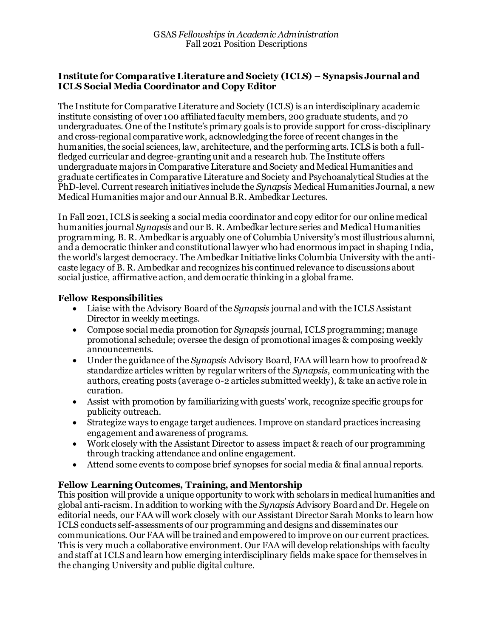#### **Institute for Comparative Literature and Society (ICLS) – Synapsis Journal and ICLS Social Media Coordinator and Copy Editor**

The Institute for Comparative Literature and Society (ICLS) is an interdisciplinary academic institute consisting of over 100 affiliated faculty members, 200 graduate students, and 70 undergraduates. One of the Institute's primary goals is to provide support for cross-disciplinary and cross-regional comparative work, acknowledging the force of recent changes in the humanities, the social sciences, law, architecture, and the performing arts. ICLS is both a fullfledged curricular and degree-granting unit and a research hub. The Institute offers undergraduate majors in Comparative Literature and Society and Medical Humanities and graduate certificates in Comparative Literature and Society and Psychoanalytical Studies at the PhD-level. Current research initiatives include the *Synapsis* Medical Humanities Journal, a new Medical Humanities major and our Annual B.R. Ambedkar Lectures.

In Fall 2021, ICLS is seeking a social media coordinator and copy editor for our online medical humanities journal *Synapsis* and our B. R. Ambedkar lecture series and Medical Humanities programming. B. R. Ambedkar is arguably one of Columbia University's most illustrious alumni, and a democratic thinker and constitutional lawyer who had enormous impact in shaping India, the world's largest democracy. The Ambedkar Initiative links Columbia University with the anticaste legacy of B. R. Ambedkar and recognizes his continued relevance to discussions about social justice, affirmative action, and democratic thinking in a global frame.

#### **Fellow Responsibilities**

- Liaise with the Advisory Board of the *Synapsis* journal and with the ICLS Assistant Director in weekly meetings.
- Compose social media promotion for *Synapsis* journal, ICLS programming; manage promotional schedule; oversee the design of promotional images & composing weekly announcements.
- Under the guidance of the *Synapsis* Advisory Board, FAA will learn how to proofread & standardize articles written by regular writers of the *Synapsis*, communicating with the authors, creating posts (average 0-2 articles submitted weekly), & take an active role in curation.
- Assist with promotion by familiarizing with guests' work, recognize specific groups for publicity outreach.
- Strategize ways to engage target audiences. Improve on standard practices increasing engagement and awareness of programs.
- Work closely with the Assistant Director to assess impact & reach of our programming through tracking attendance and online engagement.
- Attend some events to compose brief synopses for social media & final annual reports.

### **Fellow Learning Outcomes, Training, and Mentorship**

This position will provide a unique opportunity to work with scholars in medical humanities and global anti-racism. In addition to working with the *Synapsis* Advisory Board and Dr. Hegele on editorial needs, our FAA will work closely with our Assistant Director Sarah Monks to learn how ICLS conducts self-assessments of our programming and designs and disseminates our communications. Our FAA will be trained and empowered to improve on our current practices. This is very much a collaborative environment. Our FAA will develop relationships with faculty and staff at ICLS and learn how emerging interdisciplinary fields make space for themselves in the changing University and public digital culture.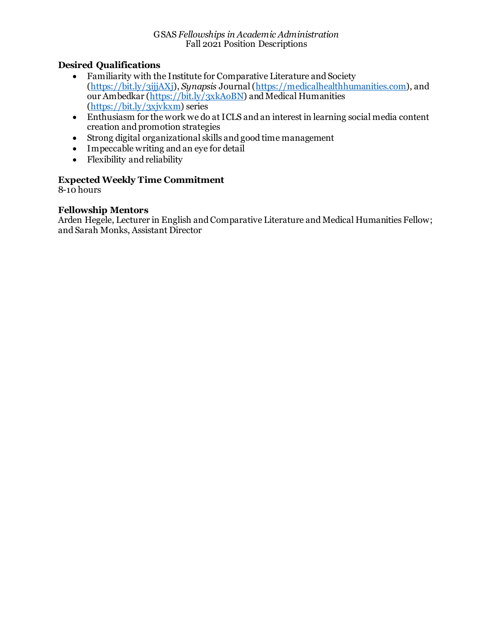### **Desired Qualifications**

- Familiarity with the Institute for Comparative Literature and Society [\(https://bit.ly/3ijjAXj\)](https://bit.ly/3ijjAXj), *Synapsis* Journal [\(https://medicalhealthhumanities.com](https://medicalhealthhumanities.com/)), and our Ambedkar [\(https://bit.ly/3xkAoBN](https://bit.ly/3xkAoBN)) and Medical Humanities [\(https://bit.ly/3xjvkxm](https://bit.ly/3xjvkxm)) series
- Enthusiasm for the work we do at ICLS and an interest in learning social media content creation and promotion strategies
- Strong digital organizational skills and good time management
- Impeccable writing and an eye for detail
- Flexibility and reliability

### **Expected Weekly Time Commitment**

 $8-10$  hours

### **Fellowship Mentors**

Arden Hegele, Lecturer in English and Comparative Literature and Medical Humanities Fellow; and Sarah Monks, Assistant Director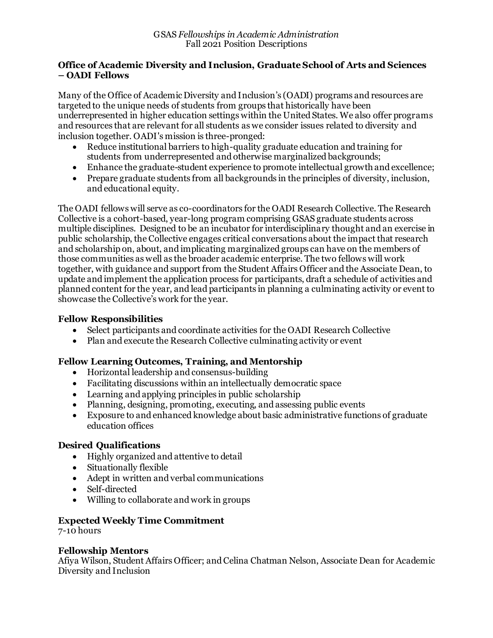#### **Office of Academic Diversity and Inclusion, Graduate School of Arts and Sciences – OADI Fellows**

Many of the Office of Academic Diversity and Inclusion's (OADI) programs and resources are targeted to the unique needs of students from groups that historically have been underrepresented in higher education settings within the United States. We also offer programs and resources that are relevant for all students as we consider issues related to diversity and inclusion together. OADI's mission is three-pronged:

- Reduce institutional barriers to high-quality graduate education and training for students from underrepresented and otherwise marginalized backgrounds;
- Enhance the graduate-student experience to promote intellectual growth and excellence;
- Prepare graduate students from all backgrounds in the principles of diversity, inclusion, and educational equity.

The OADI fellows will serve as co-coordinators for the OADI Research Collective. The Research Collective is a cohort-based, year-long program comprising GSAS graduate students across multiple disciplines. Designed to be an incubator for interdisciplinary thought and an exercise in public scholarship, the Collective engages critical conversations about the impact that research and scholarship on, about, and implicating marginalized groups can have on the members of those communities as well as the broader academic enterprise. The two fellows will work together, with guidance and support from the Student Affairs Officer and the Associate Dean, to update and implement the application process for participants, draft a schedule of activities and planned content for the year, and lead participants in planning a culminating activity or event to showcase the Collective's work for the year.

### **Fellow Responsibilities**

- Select participants and coordinate activities for the OADI Research Collective
- Plan and execute the Research Collective culminating activity or event

# **Fellow Learning Outcomes, Training, and Mentorship**

- Horizontal leadership and consensus-building
- Facilitating discussions within an intellectually democratic space
- Learning and applying principles in public scholarship
- Planning, designing, promoting, executing, and assessing public events
- Exposure to and enhanced knowledge about basic administrative functions of graduate education offices

### **Desired Qualifications**

- Highly organized and attentive to detail
- Situationally flexible
- Adept in written and verbal communications
- Self-directed
- Willing to collaborate and work in groups

# **Expected Weekly Time Commitment**

7-10 hours

### **Fellowship Mentors**

Afiya Wilson, Student Affairs Officer; and Celina Chatman Nelson, Associate Dean for Academic Diversity and Inclusion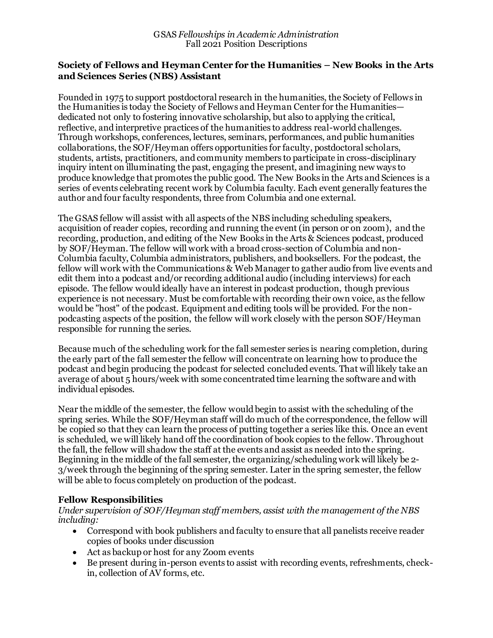#### **Society of Fellows and Heyman Center for the Humanities – New Books in the Arts and Sciences Series (NBS) Assistant**

Founded in 1975 to support postdoctoral research in the humanities, the Society of Fellows in the Humanities is today the Society of Fellows and Heyman Center for the Humanities dedicated not only to fostering innovative scholarship, but also to applying the critical, reflective, and interpretive practices of the humanities to address real-world challenges. Through workshops, conferences, lectures, seminars, performances, and public humanities collaborations, the SOF/Heyman offers opportunities for faculty, postdoctoral scholars, students, artists, practitioners, and community members to participate in cross-disciplinary inquiry intent on illuminating the past, engaging the present, and imagining new ways to produce knowledge that promotes the public good. The New Books in the Arts and Sciences is a series of events celebrating recent work by Columbia faculty. Each event generally features the author and four faculty respondents, three from Columbia and one external.

The GSAS fellow will assist with all aspects of the NBS including scheduling speakers, acquisition of reader copies, recording and running the event (in person or on zoom), and the recording, production, and editing of the New Books in the Arts & Sciences podcast, produced by SOF/Heyman. The fellow will work with a broad cross-section of Columbia and non-Columbia faculty, Columbia administrators, publishers, and booksellers. For the podcast, the fellow will work with the Communications & Web Manager to gather audio from live events and edit them into a podcast and/or recording additional audio (including interviews) for each episode. The fellow would ideally have an interest in podcast production, though previous experience is not necessary. Must be comfortable with recording their own voice, as the fellow would be "host" of the podcast. Equipment and editing tools will be provided. For the nonpodcasting aspects of the position, the fellow will work closely with the person SOF/Heyman responsible for running the series.

Because much of the scheduling work for the fall semester series is nearing completion, during the early part of the fall semester the fellow will concentrate on learning how to produce the podcast and begin producing the podcast for selected concluded events. That will likely take an average of about 5 hours/week with some concentrated time learning the software and with individual episodes.

Near the middle of the semester, the fellow would begin to assist with the scheduling of the spring series. While the SOF/Heyman staff will do much of the correspondence, the fellow will be copied so that they can learn the process of putting together a series like this. Once an event is scheduled, we will likely hand off the coordination of book copies to the fellow. Throughout the fall, the fellow will shadow the staff at the events and assist as needed into the spring. Beginning in the middle of the fall semester, the organizing/scheduling work will likely be 2- 3/week through the beginning of the spring semester. Later in the spring semester, the fellow will be able to focus completely on production of the podcast.

### **Fellow Responsibilities**

*Under supervision of SOF/Heyman staff members, assist with the management of the NBS including:*

- Correspond with book publishers and faculty to ensure that all panelists receive reader copies of books under discussion
- Act as backup or host for any Zoom events
- Be present during in-person events to assist with recording events, refreshments, checkin, collection of AV forms, etc.